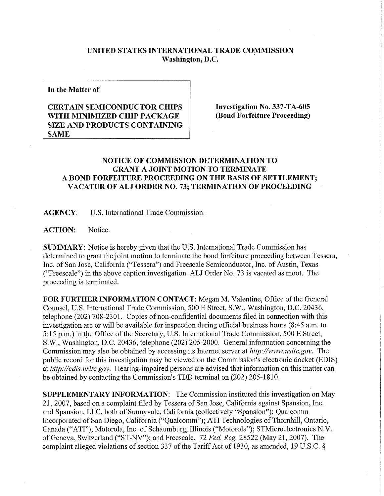## **UNITED STATES INTERNATIONAL TRADE COMMISSION Washington, D.C.**

**In the Matter of** 

## **CERTAIN SEMICONDUCTOR CHIPS WITH MINIMIZED CHIP PACKAGE SIZE AND PRODUCTS CONTAINING SAME**

**Investigation No. 337-TA-605 (Bond Forfeiture Proceeding)** 

## **NOTICE OF COMMISSION DETERMINATION TO GRANT A JOINT MOTION TO TERMINATE A BOND FORFEITUR E PROCEEDING ON THE BASIS OF SETTLEMENT; VACATUR OF ALJ ORDER NO. 73; TERMINATION OF PROCEEDING**

**AGENCY:** U.S. International Trade Commission.

**ACTION:** Notice.

**SUMMARY:** Notice is hereby given that the U.S. International Trade Commission has determined to grant the joint motion to terminate the bond forfeiture proceeding between Tessera, Inc. of San Jose, California ("Tessera") and Freescale Semiconductor, Inc. of Austin, Texas ("Freescale") in the above caption investigation. ALJ Order No. 73 is vacated as moot. The proceeding is terminated.

FOR FURTHER INFORMATION CONTACT: Megan M. Valentine, Office of the General Counsel, U.S. International Trade Commission, 500 E Street, S.W., Washington, D.C. 20436, telephone (202) 708-2301. Copies of non-confidential documents filed in connection with this investigation are or will be available for inspection during official business hours (8:45 a.m. to 5:15 p.m.) in the Office of the Secretary, U.S. International Trade Commission, 500 E Street, S.W., Washington, D.C. 20436, telephone (202) 205-2000. General information concerning the Commission may also be obtained by accessing its Internet server at *http://www.usitc.gov.* The public record for this investigation may be viewed on the Commission's electronic docket (EDIS) at *http://edis. usitc.gov.* Hearing-impaired persons are advised that information on this matter can be obtained by contacting the Commission's TDD terminal on (202) 205-1810.

**SUPPLEMENTARY INFORMATION:** The Commission instituted this investigation on May 21, 2007, based on a complaint filed by Tessera of San Jose, California against Spansion, Inc. and Spansion, LLC, both of Sunnyvale, California (collectively "Spansion"); Qualcomm Incorporated of San Diego, California ("Qualcomm"); ATI Technologies of Thornhill, Ontario, Canada ("ATI"); Motorola, Inc. of Schaumburg, Illinois ("Motorola"); STMicroelectronics N.V. of Geneva, Switzerland ("ST-NV"); and Freescale. 72 *Fed. Reg.* 28522 (May 21, 2007). The complaint alleged violations of section 337 of the Tariff Act of 1930, as amended, 19 U.S.C. §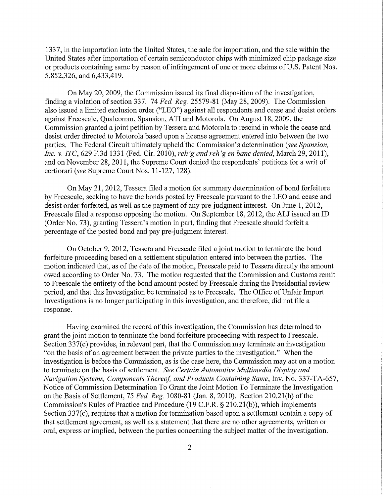1337, in the importation into the United States, the sale for importation, and the sale within the United States after importation of certain semiconductor chips with minimized chip package size or products containing same by reason of infringement of one or more claims of U.S. Patent Nos. 5,852,326, and 6,433,419.

On May 20, 2009, the Commission issued its final disposition of the investigation, finding a violation of section 337. 74 *Fed. Reg.* 25579-81 (May 28,2009). The Commission also issued a limited exclusion order ("LEO") against all respondents and cease and desist orders against Freescale, Qualcomm, Spansion, ATI and Motorola. On August 18,2009, the Commission granted a joint petition by Tessera and Motorola to rescind in whole the cease and desist order directed to Motorola based upon a license agreement entered into between the two parties. The Federal Circuit ultimately upheld the Commission's determination *{see Spansion, Inc. v. ITC, 629* F.3d 1331 (Fed. Cir. 2010), *reh'gandreh'gen banc denied,* March 29, 2011), and on November 28, 2011, the Supreme Court denied the respondents' petitions for a writ of certiorari *{see* Supreme Court Nos. 11-127,128).

On May 21,2012, Tessera filed a motion for summary determination of bond forfeiture by Freescale, seeking to have the bonds posted by Freescale pursuant to the LEO and cease and desist order forfeited, as well as the payment of any pre-judgment interest. On June 1, 2012, Freescale filed a response opposing the motion. On September 18, 2012, the ALJ issued an ID (Order No. 73), granting Tessera's motion in part, finding that Freescale should forfeit a percentage of the posted bond and pay pre-judgment interest.

On October 9, 2012, Tessera and Freescale filed a joint motion to terminate the bond forfeiture proceeding based on a settlement stipulation entered into between the parties. The motion indicated that, as of the date of the motion, Freescale paid to Tessera directly the amount owed according to Order No. 73. The motion requested that the Commission and Customs remit to Freescale the entirety of the bond amount posted by Freescale during the Presidential review period, and that this Investigation be terminated as to Freescale. The Office of Unfair Import Investigations is no longer participating in this investigation, and therefore, did not file a response.

Having examined the record of this investigation, the Commission has determined to grant the joint motion to terminate the bond forfeiture proceeding with respect to Freescale. Section 337(c) provides, in relevant part, that the Commission may terminate an investigation "on the basis of an agreement between the private parties to the investigation." When the investigation is before the Commission, as is the case here, the Commission may act on a motion to terminate on the basis of settlement. *See Certain Automotive Multimedia Display and Navigation Systems, Components Thereof, and Products Containing Same,* Inv. No. 337-TA-657, Notice of Commission Determination To Grant the Joint Motion To Terminate the Investigation on the Basis of Settlement, 75 *Fed, Reg.* 1080-81 (Jan. 8, 2010). Section 210.21(b) of the Commission's Rules of Practice and Procedure (19 C.F.R. § 210.21(b)), which implements Section 337(c), requires that a motion for termination based upon a settlement contain a copy of that settlement agreement, as well as a statement that there are no other agreements, written or oral, express or implied, between the parties concerning the subject matter of the investigation.